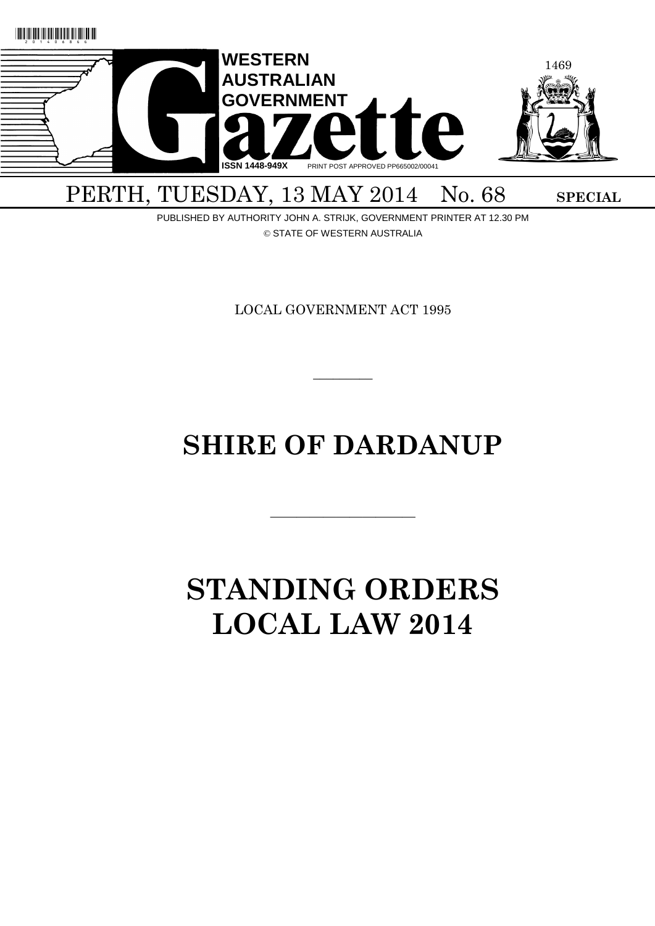

# PERTH, TUESDAY, 13 MAY 2014 No. 68 SPECIAL

PUBLISHED BY AUTHORITY JOHN A. STRIJK, GOVERNMENT PRINTER AT 12.30 PM © STATE OF WESTERN AUSTRALIA

LOCAL GOVERNMENT ACT 1995

 $\overline{\phantom{a}}$ 

# **SHIRE OF DARDANUP**

———————————

# **STANDING ORDERS LOCAL LAW 2014**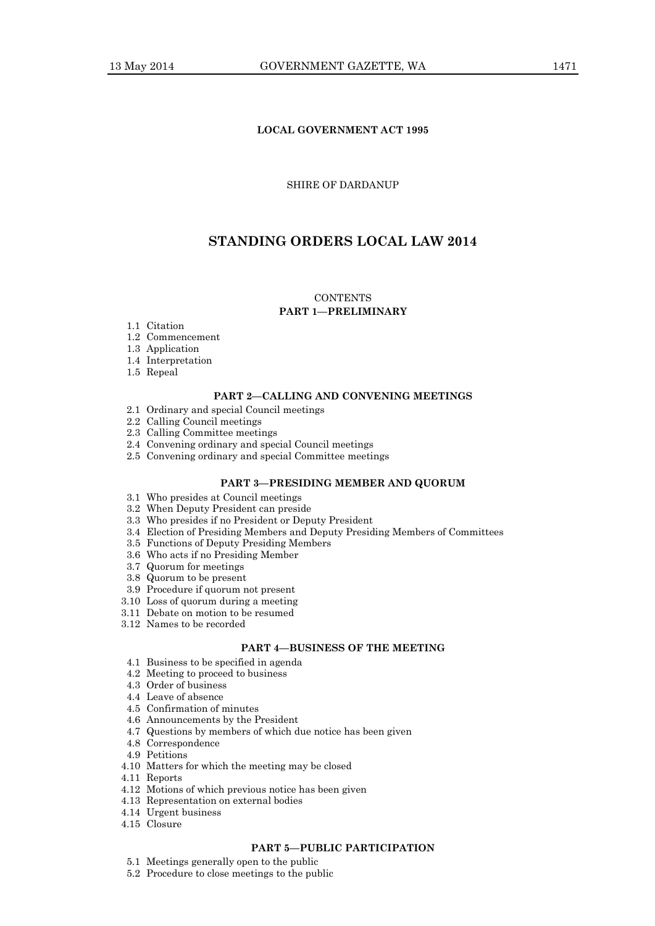# **LOCAL GOVERNMENT ACT 1995**

# SHIRE OF DARDANUP

# **STANDING ORDERS LOCAL LAW 2014**

# **CONTENTS**

# **PART 1—PRELIMINARY**

- 1.1 Citation
- 1.2 Commencement
- 1.3 Application
- 1.4 Interpretation
- 1.5 Repeal

# **PART 2—CALLING AND CONVENING MEETINGS**

- 2.1 Ordinary and special Council meetings
- 2.2 Calling Council meetings
- 2.3 Calling Committee meetings
- 2.4 Convening ordinary and special Council meetings
- 2.5 Convening ordinary and special Committee meetings

# **PART 3—PRESIDING MEMBER AND QUORUM**

- 3.1 Who presides at Council meetings
- 3.2 When Deputy President can preside
- 3.3 Who presides if no President or Deputy President
- 3.4 Election of Presiding Members and Deputy Presiding Members of Committees
- 3.5 Functions of Deputy Presiding Members
- 3.6 Who acts if no Presiding Member
- 3.7 Quorum for meetings
- 3.8 Quorum to be present
- 3.9 Procedure if quorum not present
- 3.10 Loss of quorum during a meeting
- 3.11 Debate on motion to be resumed
- 3.12 Names to be recorded

# **PART 4—BUSINESS OF THE MEETING**

- 4.1 Business to be specified in agenda
- 4.2 Meeting to proceed to business
- 4.3 Order of business
- 4.4 Leave of absence
- 4.5 Confirmation of minutes
- 4.6 Announcements by the President
- 4.7 Questions by members of which due notice has been given
- 4.8 Correspondence
- 4.9 Petitions
- 4.10 Matters for which the meeting may be closed
- 4.11 Reports
- 4.12 Motions of which previous notice has been given
- 4.13 Representation on external bodies
- 4.14 Urgent business
- 4.15 Closure

#### **PART 5—PUBLIC PARTICIPATION**

- 5.1 Meetings generally open to the public
- 5.2 Procedure to close meetings to the public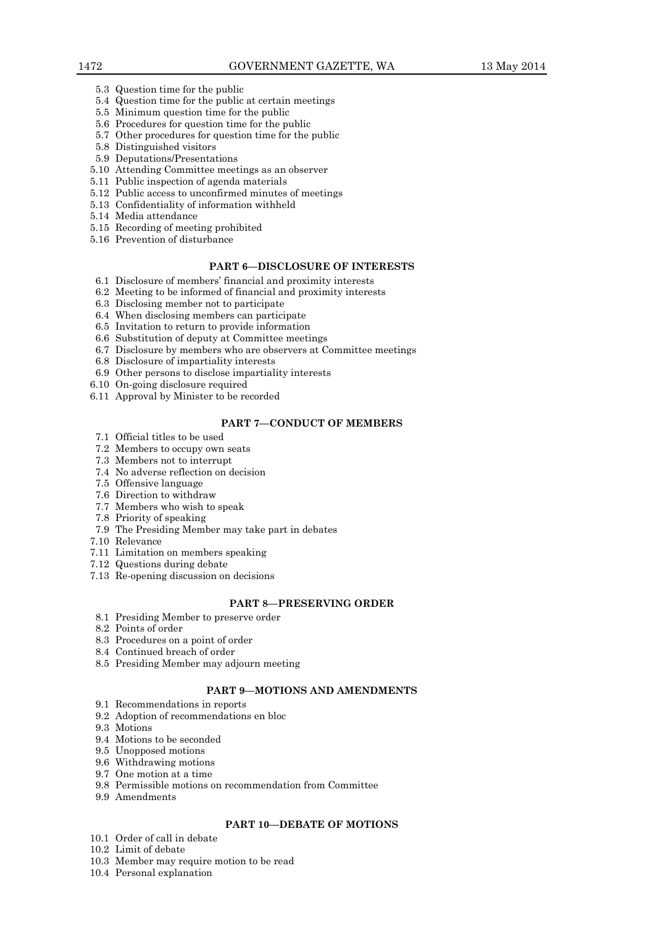- 5.3 Question time for the public
- 5.4 Question time for the public at certain meetings
- 5.5 Minimum question time for the public
- 5.6 Procedures for question time for the public
- 5.7 Other procedures for question time for the public
- 5.8 Distinguished visitors
- 5.9 Deputations/Presentations
- 5.10 Attending Committee meetings as an observer
- 5.11 Public inspection of agenda materials
- 5.12 Public access to unconfirmed minutes of meetings
- 5.13 Confidentiality of information withheld
- 5.14 Media attendance
- 5.15 Recording of meeting prohibited
- 5.16 Prevention of disturbance

# **PART 6—DISCLOSURE OF INTERESTS**

- 6.1 Disclosure of members' financial and proximity interests
- 6.2 Meeting to be informed of financial and proximity interests
- 6.3 Disclosing member not to participate
- 6.4 When disclosing members can participate
- 6.5 Invitation to return to provide information
- 6.6 Substitution of deputy at Committee meetings
- 6.7 Disclosure by members who are observers at Committee meetings
- 6.8 Disclosure of impartiality interests
- 6.9 Other persons to disclose impartiality interests
- 6.10 On-going disclosure required
- 6.11 Approval by Minister to be recorded

#### **PART 7—CONDUCT OF MEMBERS**

- 7.1 Official titles to be used
- 7.2 Members to occupy own seats
- 7.3 Members not to interrupt
- 7.4 No adverse reflection on decision
- 7.5 Offensive language
- 7.6 Direction to withdraw
- 7.7 Members who wish to speak
- 7.8 Priority of speaking
- 7.9 The Presiding Member may take part in debates
- 7.10 Relevance
- 7.11 Limitation on members speaking
- 7.12 Questions during debate
- 7.13 Re-opening discussion on decisions

### **PART 8—PRESERVING ORDER**

- 8.1 Presiding Member to preserve order
- 8.2 Points of order
- 8.3 Procedures on a point of order
- 8.4 Continued breach of order
- 8.5 Presiding Member may adjourn meeting

# **PART 9—MOTIONS AND AMENDMENTS**

- 9.1 Recommendations in reports
- 9.2 Adoption of recommendations en bloc
- 9.3 Motions
- 9.4 Motions to be seconded
- 9.5 Unopposed motions
- 9.6 Withdrawing motions
- 9.7 One motion at a time
- 9.8 Permissible motions on recommendation from Committee
- 9.9 Amendments

# **PART 10—DEBATE OF MOTIONS**

- 10.1 Order of call in debate
- 10.2 Limit of debate
- 10.3 Member may require motion to be read
- 10.4 Personal explanation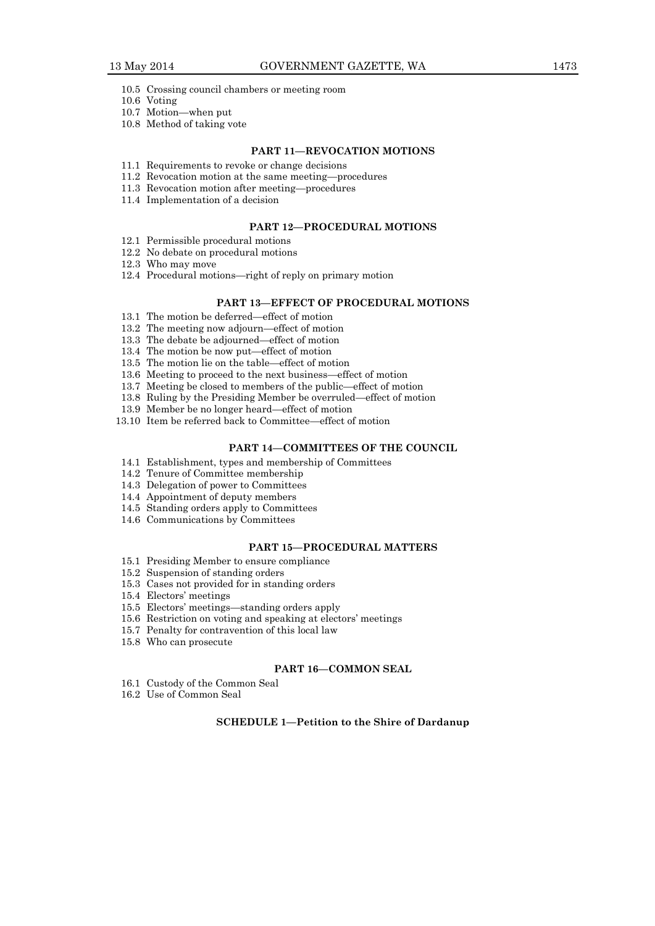- 10.5 Crossing council chambers or meeting room
- 10.6 Voting
- 10.7 Motion—when put
- 10.8 Method of taking vote

# **PART 11—REVOCATION MOTIONS**

- 11.1 Requirements to revoke or change decisions
- 11.2 Revocation motion at the same meeting—procedures
- 11.3 Revocation motion after meeting—procedures
- 11.4 Implementation of a decision

#### **PART 12—PROCEDURAL MOTIONS**

- 12.1 Permissible procedural motions
- 12.2 No debate on procedural motions
- 12.3 Who may move
- 12.4 Procedural motions—right of reply on primary motion

# **PART 13—EFFECT OF PROCEDURAL MOTIONS**

- 13.1 The motion be deferred—effect of motion
- 13.2 The meeting now adjourn—effect of motion
- 13.3 The debate be adjourned—effect of motion
- 13.4 The motion be now put—effect of motion
- 13.5 The motion lie on the table—effect of motion
- 13.6 Meeting to proceed to the next business—effect of motion
- 13.7 Meeting be closed to members of the public—effect of motion
- 13.8 Ruling by the Presiding Member be overruled—effect of motion
- 13.9 Member be no longer heard—effect of motion
- 13.10 Item be referred back to Committee—effect of motion

# **PART 14—COMMITTEES OF THE COUNCIL**

- 14.1 Establishment, types and membership of Committees
- 14.2 Tenure of Committee membership
- 14.3 Delegation of power to Committees
- 14.4 Appointment of deputy members
- 14.5 Standing orders apply to Committees
- 14.6 Communications by Committees

# **PART 15—PROCEDURAL MATTERS**

- 15.1 Presiding Member to ensure compliance
- 15.2 Suspension of standing orders
- 15.3 Cases not provided for in standing orders
- 15.4 Electors' meetings
- 15.5 Electors' meetings—standing orders apply
- 15.6 Restriction on voting and speaking at electors' meetings
- 15.7 Penalty for contravention of this local law
- 15.8 Who can prosecute

#### **PART 16—COMMON SEAL**

- 16.1 Custody of the Common Seal
- 16.2 Use of Common Seal

# **SCHEDULE 1—Petition to the Shire of Dardanup**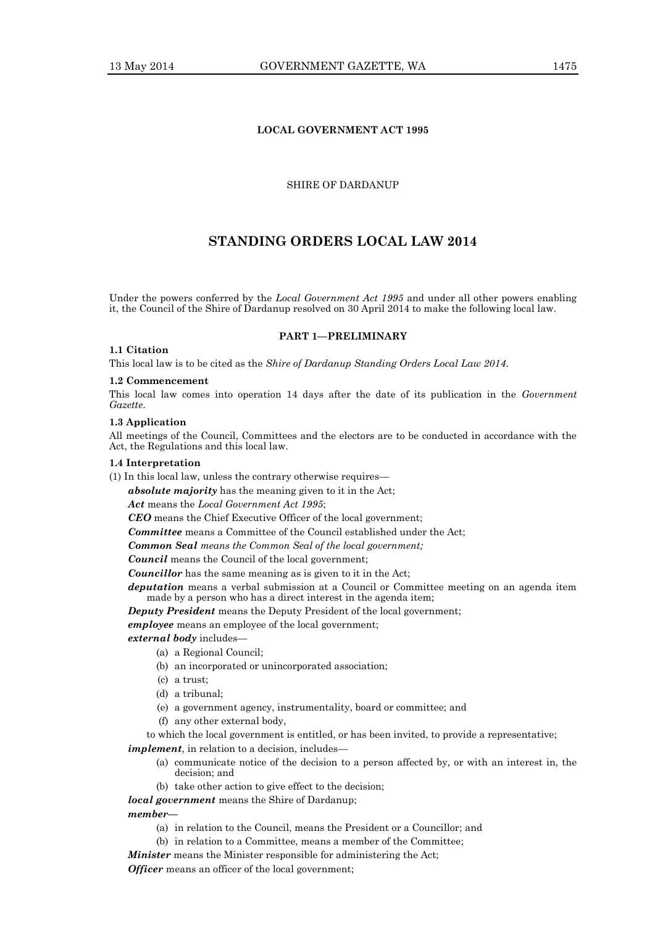# **LOCAL GOVERNMENT ACT 1995**

# SHIRE OF DARDANUP

# **STANDING ORDERS LOCAL LAW 2014**

Under the powers conferred by the *Local Government Act 1995* and under all other powers enabling it, the Council of the Shire of Dardanup resolved on 30 April 2014 to make the following local law.

#### **PART 1—PRELIMINARY**

# **1.1 Citation**

This local law is to be cited as the *Shire of Dardanup Standing Orders Local Law 2014*.

# **1.2 Commencement**

This local law comes into operation 14 days after the date of its publication in the *Government Gazette*.

#### **1.3 Application**

All meetings of the Council, Committees and the electors are to be conducted in accordance with the Act, the Regulations and this local law.

# **1.4 Interpretation**

(1) In this local law, unless the contrary otherwise requires—

*absolute majority* has the meaning given to it in the Act;

*Act* means the *Local Government Act 1995*;

*CEO* means the Chief Executive Officer of the local government;

*Committee* means a Committee of the Council established under the Act;

*Common Seal means the Common Seal of the local government;*

*Council* means the Council of the local government;

*Councillor* has the same meaning as is given to it in the Act;

*deputation* means a verbal submission at a Council or Committee meeting on an agenda item made by a person who has a direct interest in the agenda item;

*Deputy President* means the Deputy President of the local government;

*employee* means an employee of the local government;

*external body* includes—

- (a) a Regional Council;
- (b) an incorporated or unincorporated association;
- (c) a trust;
- (d) a tribunal;
- (e) a government agency, instrumentality, board or committee; and
- (f) any other external body,

to which the local government is entitled, or has been invited, to provide a representative;

*implement*, in relation to a decision, includes—

- (a) communicate notice of the decision to a person affected by, or with an interest in, the decision; and
- (b) take other action to give effect to the decision;

*local government* means the Shire of Dardanup;

#### *member—*

- (a) in relation to the Council, means the President or a Councillor; and
- (b) in relation to a Committee, means a member of the Committee;

*Minister* means the Minister responsible for administering the Act;

*Officer* means an officer of the local government;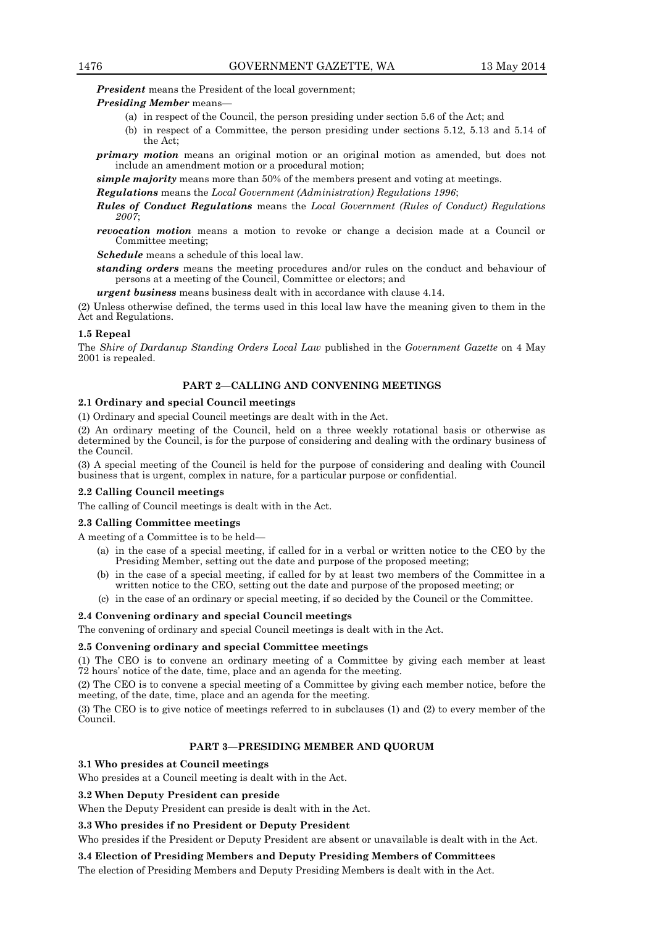*President* means the President of the local government;

# *Presiding Member* means—

- (a) in respect of the Council, the person presiding under section 5.6 of the Act; and
- (b) in respect of a Committee, the person presiding under sections 5.12, 5.13 and 5.14 of the Act;
- *primary motion* means an original motion or an original motion as amended, but does not include an amendment motion or a procedural motion;

*simple majority* means more than 50% of the members present and voting at meetings.

*Regulations* means the *Local Government (Administration) Regulations 1996*;

- *Rules of Conduct Regulations* means the *Local Government (Rules of Conduct) Regulations 2007*;
- *revocation motion* means a motion to revoke or change a decision made at a Council or Committee meeting;

*Schedule* means a schedule of this local law.

*standing orders* means the meeting procedures and/or rules on the conduct and behaviour of persons at a meeting of the Council, Committee or electors; and

*urgent business* means business dealt with in accordance with clause 4.14.

(2) Unless otherwise defined, the terms used in this local law have the meaning given to them in the Act and Regulations.

### **1.5 Repeal**

The *Shire of Dardanup Standing Orders Local Law* published in the *Government Gazette* on 4 May 2001 is repealed.

# **PART 2—CALLING AND CONVENING MEETINGS**

# **2.1 Ordinary and special Council meetings**

(1) Ordinary and special Council meetings are dealt with in the Act.

(2) An ordinary meeting of the Council, held on a three weekly rotational basis or otherwise as determined by the Council, is for the purpose of considering and dealing with the ordinary business of the Council.

(3) A special meeting of the Council is held for the purpose of considering and dealing with Council business that is urgent, complex in nature, for a particular purpose or confidential.

#### **2.2 Calling Council meetings**

The calling of Council meetings is dealt with in the Act.

# **2.3 Calling Committee meetings**

A meeting of a Committee is to be held—

- (a) in the case of a special meeting, if called for in a verbal or written notice to the CEO by the Presiding Member, setting out the date and purpose of the proposed meeting;
- (b) in the case of a special meeting, if called for by at least two members of the Committee in a written notice to the CEO, setting out the date and purpose of the proposed meeting; or
- (c) in the case of an ordinary or special meeting, if so decided by the Council or the Committee.

#### **2.4 Convening ordinary and special Council meetings**

The convening of ordinary and special Council meetings is dealt with in the Act.

#### **2.5 Convening ordinary and special Committee meetings**

(1) The CEO is to convene an ordinary meeting of a Committee by giving each member at least 72 hours' notice of the date, time, place and an agenda for the meeting.

(2) The CEO is to convene a special meeting of a Committee by giving each member notice, before the meeting, of the date, time, place and an agenda for the meeting.

(3) The CEO is to give notice of meetings referred to in subclauses (1) and (2) to every member of the Council.

# **PART 3—PRESIDING MEMBER AND QUORUM**

#### **3.1 Who presides at Council meetings**

Who presides at a Council meeting is dealt with in the Act.

#### **3.2 When Deputy President can preside**

When the Deputy President can preside is dealt with in the Act.

# **3.3 Who presides if no President or Deputy President**

Who presides if the President or Deputy President are absent or unavailable is dealt with in the Act.

#### **3.4 Election of Presiding Members and Deputy Presiding Members of Committees**

The election of Presiding Members and Deputy Presiding Members is dealt with in the Act.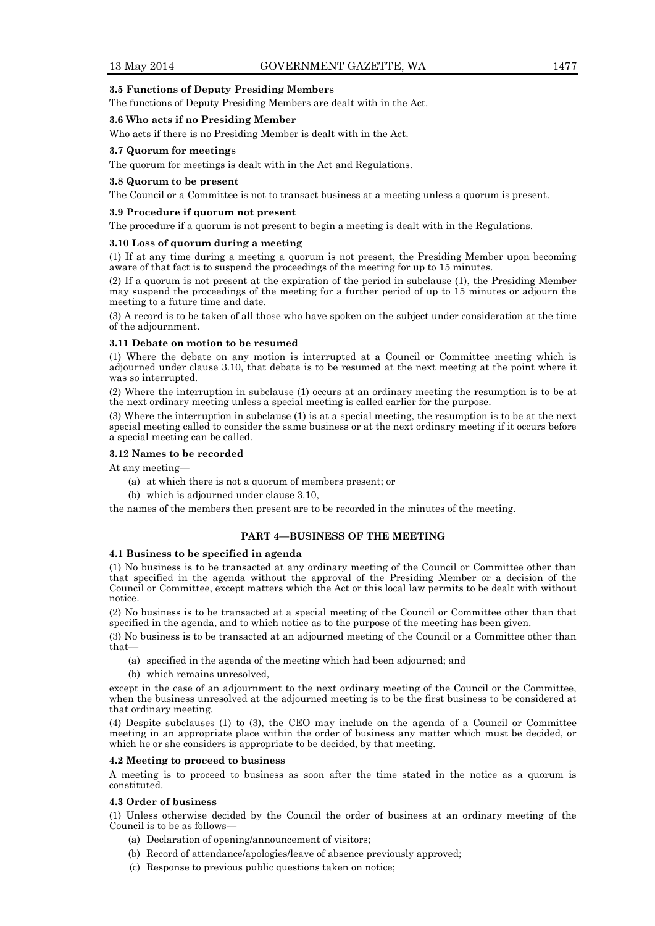# **3.5 Functions of Deputy Presiding Members**

The functions of Deputy Presiding Members are dealt with in the Act.

# **3.6 Who acts if no Presiding Member**

Who acts if there is no Presiding Member is dealt with in the Act.

# **3.7 Quorum for meetings**

The quorum for meetings is dealt with in the Act and Regulations.

# **3.8 Quorum to be present**

The Council or a Committee is not to transact business at a meeting unless a quorum is present.

#### **3.9 Procedure if quorum not present**

The procedure if a quorum is not present to begin a meeting is dealt with in the Regulations.

# **3.10 Loss of quorum during a meeting**

(1) If at any time during a meeting a quorum is not present, the Presiding Member upon becoming aware of that fact is to suspend the proceedings of the meeting for up to 15 minutes.

(2) If a quorum is not present at the expiration of the period in subclause (1), the Presiding Member may suspend the proceedings of the meeting for a further period of up to 15 minutes or adjourn the meeting to a future time and date.

(3) A record is to be taken of all those who have spoken on the subject under consideration at the time of the adjournment.

#### **3.11 Debate on motion to be resumed**

(1) Where the debate on any motion is interrupted at a Council or Committee meeting which is adjourned under clause 3.10, that debate is to be resumed at the next meeting at the point where it was so interrupted.

(2) Where the interruption in subclause (1) occurs at an ordinary meeting the resumption is to be at the next ordinary meeting unless a special meeting is called earlier for the purpose.

(3) Where the interruption in subclause (1) is at a special meeting, the resumption is to be at the next special meeting called to consider the same business or at the next ordinary meeting if it occurs before a special meeting can be called.

# **3.12 Names to be recorded**

At any meeting—

- (a) at which there is not a quorum of members present; or
- (b) which is adjourned under clause 3.10,

the names of the members then present are to be recorded in the minutes of the meeting.

# **PART 4—BUSINESS OF THE MEETING**

# **4.1 Business to be specified in agenda**

(1) No business is to be transacted at any ordinary meeting of the Council or Committee other than that specified in the agenda without the approval of the Presiding Member or a decision of the Council or Committee, except matters which the Act or this local law permits to be dealt with without notice.

(2) No business is to be transacted at a special meeting of the Council or Committee other than that specified in the agenda, and to which notice as to the purpose of the meeting has been given.

(3) No business is to be transacted at an adjourned meeting of the Council or a Committee other than that—

- (a) specified in the agenda of the meeting which had been adjourned; and
- (b) which remains unresolved,

except in the case of an adjournment to the next ordinary meeting of the Council or the Committee, when the business unresolved at the adjourned meeting is to be the first business to be considered at that ordinary meeting.

(4) Despite subclauses (1) to (3), the CEO may include on the agenda of a Council or Committee meeting in an appropriate place within the order of business any matter which must be decided, or which he or she considers is appropriate to be decided, by that meeting.

#### **4.2 Meeting to proceed to business**

A meeting is to proceed to business as soon after the time stated in the notice as a quorum is constituted.

#### **4.3 Order of business**

(1) Unless otherwise decided by the Council the order of business at an ordinary meeting of the Council is to be as follows—

- (a) Declaration of opening/announcement of visitors;
- (b) Record of attendance/apologies/leave of absence previously approved;
- (c) Response to previous public questions taken on notice;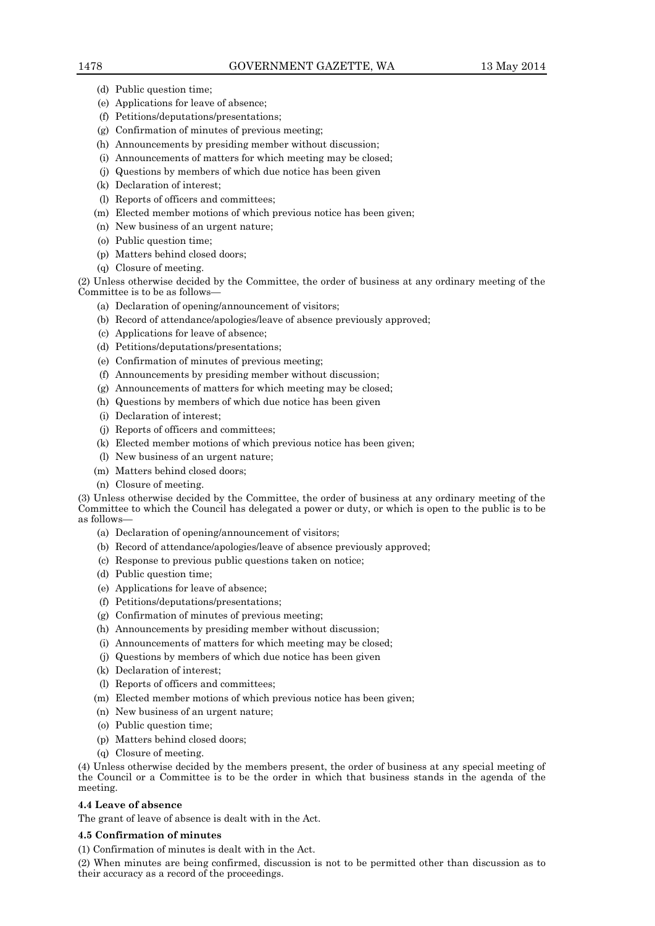- (d) Public question time;
- (e) Applications for leave of absence;
- (f) Petitions/deputations/presentations;
- (g) Confirmation of minutes of previous meeting;
- (h) Announcements by presiding member without discussion;
- (i) Announcements of matters for which meeting may be closed;
- (j) Questions by members of which due notice has been given
- (k) Declaration of interest;
- (l) Reports of officers and committees;
- (m) Elected member motions of which previous notice has been given;
- (n) New business of an urgent nature;
- (o) Public question time;
- (p) Matters behind closed doors;
- (q) Closure of meeting.

(2) Unless otherwise decided by the Committee, the order of business at any ordinary meeting of the Committee is to be as follows—

- (a) Declaration of opening/announcement of visitors;
- (b) Record of attendance/apologies/leave of absence previously approved;
- (c) Applications for leave of absence;
- (d) Petitions/deputations/presentations;
- (e) Confirmation of minutes of previous meeting;
- (f) Announcements by presiding member without discussion;
- (g) Announcements of matters for which meeting may be closed;
- (h) Questions by members of which due notice has been given
- (i) Declaration of interest;
- (j) Reports of officers and committees;
- (k) Elected member motions of which previous notice has been given;
- (l) New business of an urgent nature;
- (m) Matters behind closed doors;
- (n) Closure of meeting.

(3) Unless otherwise decided by the Committee, the order of business at any ordinary meeting of the Committee to which the Council has delegated a power or duty, or which is open to the public is to be as follows—

- (a) Declaration of opening/announcement of visitors;
- (b) Record of attendance/apologies/leave of absence previously approved;
- (c) Response to previous public questions taken on notice;
- (d) Public question time;
- (e) Applications for leave of absence;
- (f) Petitions/deputations/presentations;
- (g) Confirmation of minutes of previous meeting;
- (h) Announcements by presiding member without discussion;
- (i) Announcements of matters for which meeting may be closed;
- (j) Questions by members of which due notice has been given
- (k) Declaration of interest;
- (l) Reports of officers and committees;
- (m) Elected member motions of which previous notice has been given;
- (n) New business of an urgent nature;
- (o) Public question time;
- (p) Matters behind closed doors;
- (q) Closure of meeting.

(4) Unless otherwise decided by the members present, the order of business at any special meeting of the Council or a Committee is to be the order in which that business stands in the agenda of the meeting.

# **4.4 Leave of absence**

The grant of leave of absence is dealt with in the Act.

# **4.5 Confirmation of minutes**

(1) Confirmation of minutes is dealt with in the Act.

(2) When minutes are being confirmed, discussion is not to be permitted other than discussion as to their accuracy as a record of the proceedings.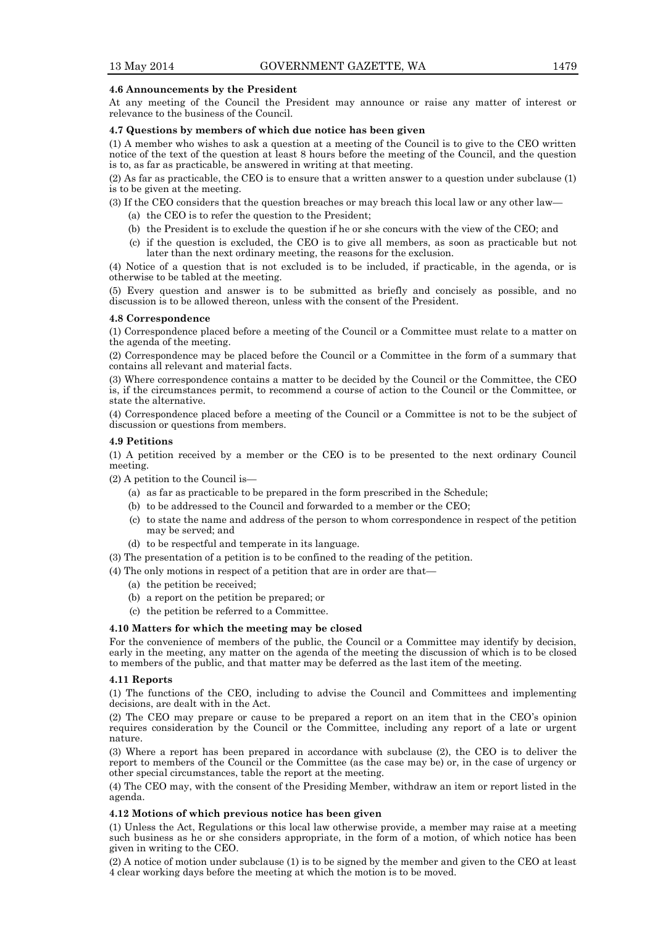# **4.6 Announcements by the President**

At any meeting of the Council the President may announce or raise any matter of interest or relevance to the business of the Council.

# **4.7 Questions by members of which due notice has been given**

(1) A member who wishes to ask a question at a meeting of the Council is to give to the CEO written notice of the text of the question at least 8 hours before the meeting of the Council, and the question is to, as far as practicable, be answered in writing at that meeting.

(2) As far as practicable, the CEO is to ensure that a written answer to a question under subclause (1) is to be given at the meeting.

(3) If the CEO considers that the question breaches or may breach this local law or any other law—

- (a) the CEO is to refer the question to the President;
- (b) the President is to exclude the question if he or she concurs with the view of the CEO; and
- (c) if the question is excluded, the CEO is to give all members, as soon as practicable but not later than the next ordinary meeting, the reasons for the exclusion.

(4) Notice of a question that is not excluded is to be included, if practicable, in the agenda, or is otherwise to be tabled at the meeting.

(5) Every question and answer is to be submitted as briefly and concisely as possible, and no discussion is to be allowed thereon, unless with the consent of the President.

#### **4.8 Correspondence**

(1) Correspondence placed before a meeting of the Council or a Committee must relate to a matter on the agenda of the meeting.

(2) Correspondence may be placed before the Council or a Committee in the form of a summary that contains all relevant and material facts.

(3) Where correspondence contains a matter to be decided by the Council or the Committee, the CEO is, if the circumstances permit, to recommend a course of action to the Council or the Committee, or state the alternative.

(4) Correspondence placed before a meeting of the Council or a Committee is not to be the subject of discussion or questions from members.

#### **4.9 Petitions**

(1) A petition received by a member or the CEO is to be presented to the next ordinary Council meeting.

(2) A petition to the Council is—

- (a) as far as practicable to be prepared in the form prescribed in the Schedule;
- (b) to be addressed to the Council and forwarded to a member or the CEO;
- (c) to state the name and address of the person to whom correspondence in respect of the petition may be served; and
- (d) to be respectful and temperate in its language.

(3) The presentation of a petition is to be confined to the reading of the petition.

(4) The only motions in respect of a petition that are in order are that—

- (a) the petition be received;
- (b) a report on the petition be prepared; or
- (c) the petition be referred to a Committee.

#### **4.10 Matters for which the meeting may be closed**

For the convenience of members of the public, the Council or a Committee may identify by decision, early in the meeting, any matter on the agenda of the meeting the discussion of which is to be closed to members of the public, and that matter may be deferred as the last item of the meeting.

#### **4.11 Reports**

(1) The functions of the CEO, including to advise the Council and Committees and implementing decisions, are dealt with in the Act.

(2) The CEO may prepare or cause to be prepared a report on an item that in the CEO's opinion requires consideration by the Council or the Committee, including any report of a late or urgent nature.

(3) Where a report has been prepared in accordance with subclause (2), the CEO is to deliver the report to members of the Council or the Committee (as the case may be) or, in the case of urgency or other special circumstances, table the report at the meeting.

(4) The CEO may, with the consent of the Presiding Member, withdraw an item or report listed in the agenda.

#### **4.12 Motions of which previous notice has been given**

(1) Unless the Act, Regulations or this local law otherwise provide, a member may raise at a meeting such business as he or she considers appropriate, in the form of a motion, of which notice has been given in writing to the CEO.

(2) A notice of motion under subclause (1) is to be signed by the member and given to the CEO at least 4 clear working days before the meeting at which the motion is to be moved.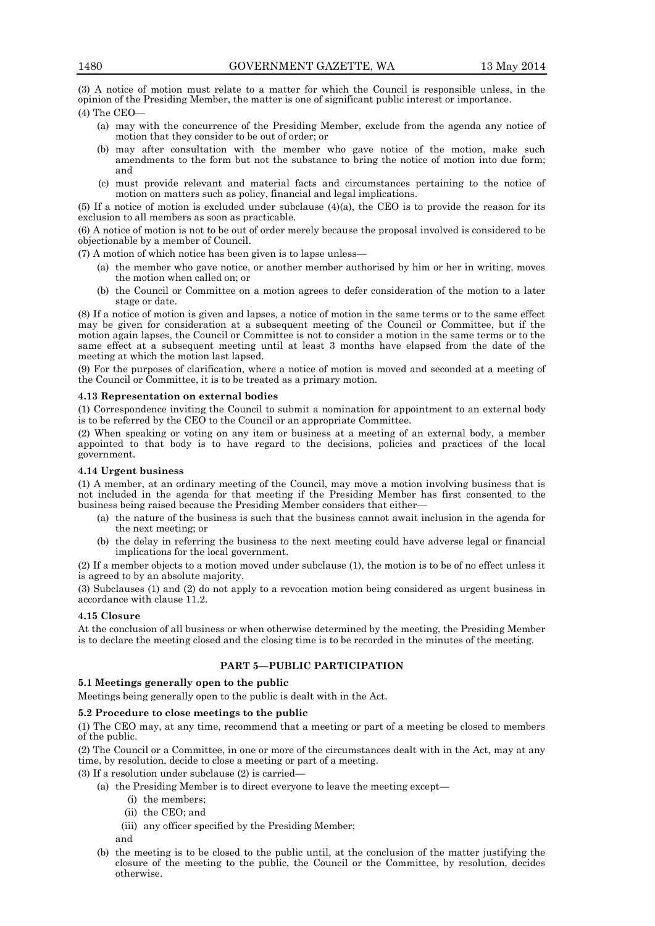(3) A notice of motion must relate to a matter for which the Council is responsible unless, in the opinion of the Presiding Member, the matter is one of significant public interest or importance. (4) The CEO—

- (a) may with the concurrence of the Presiding Member, exclude from the agenda any notice of motion that they consider to be out of order; or
- (b) may after consultation with the member who gave notice of the motion, make such amendments to the form but not the substance to bring the notice of motion into due form; and
- (c) must provide relevant and material facts and circumstances pertaining to the notice of motion on matters such as policy, financial and legal implications.

(5) If a notice of motion is excluded under subclause (4)(a), the CEO is to provide the reason for its exclusion to all members as soon as practicable.

(6) A notice of motion is not to be out of order merely because the proposal involved is considered to be objectionable by a member of Council.

(7) A motion of which notice has been given is to lapse unless—

- (a) the member who gave notice, or another member authorised by him or her in writing, moves the motion when called on; or
- (b) the Council or Committee on a motion agrees to defer consideration of the motion to a later stage or date.

(8) If a notice of motion is given and lapses, a notice of motion in the same terms or to the same effect may be given for consideration at a subsequent meeting of the Council or Committee, but if the motion again lapses, the Council or Committee is not to consider a motion in the same terms or to the same effect at a subsequent meeting until at least 3 months have elapsed from the date of the meeting at which the motion last lapsed.

(9) For the purposes of clarification, where a notice of motion is moved and seconded at a meeting of the Council or Committee, it is to be treated as a primary motion.

# **4.13 Representation on external bodies**

(1) Correspondence inviting the Council to submit a nomination for appointment to an external body is to be referred by the CEO to the Council or an appropriate Committee.

(2) When speaking or voting on any item or business at a meeting of an external body, a member appointed to that body is to have regard to the decisions, policies and practices of the local government.

# **4.14 Urgent business**

(1) A member, at an ordinary meeting of the Council, may move a motion involving business that is not included in the agenda for that meeting if the Presiding Member has first consented to the business being raised because the Presiding Member considers that either—

- (a) the nature of the business is such that the business cannot await inclusion in the agenda for the next meeting; or
- (b) the delay in referring the business to the next meeting could have adverse legal or financial implications for the local government.

(2) If a member objects to a motion moved under subclause (1), the motion is to be of no effect unless it is agreed to by an absolute majority.

(3) Subclauses (1) and (2) do not apply to a revocation motion being considered as urgent business in accordance with clause 11.2.

# **4.15 Closure**

At the conclusion of all business or when otherwise determined by the meeting, the Presiding Member is to declare the meeting closed and the closing time is to be recorded in the minutes of the meeting.

# **PART 5—PUBLIC PARTICIPATION**

# **5.1 Meetings generally open to the public**

Meetings being generally open to the public is dealt with in the Act.

# **5.2 Procedure to close meetings to the public**

(1) The CEO may, at any time, recommend that a meeting or part of a meeting be closed to members of the public.

(2) The Council or a Committee, in one or more of the circumstances dealt with in the Act, may at any time, by resolution, decide to close a meeting or part of a meeting.

(3) If a resolution under subclause (2) is carried—

- (a) the Presiding Member is to direct everyone to leave the meeting except—
	- (i) the members;
	- (ii) the CEO; and
	- (iii) any officer specified by the Presiding Member;
	- and
- (b) the meeting is to be closed to the public until, at the conclusion of the matter justifying the closure of the meeting to the public, the Council or the Committee, by resolution, decides otherwise.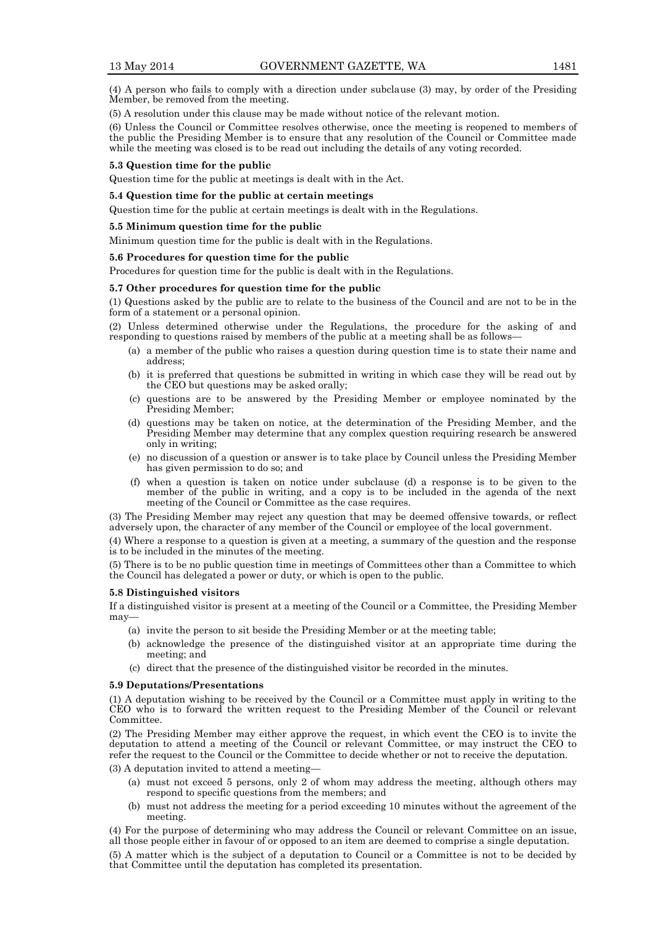(4) A person who fails to comply with a direction under subclause (3) may, by order of the Presiding Member, be removed from the meeting.

(5) A resolution under this clause may be made without notice of the relevant motion.

(6) Unless the Council or Committee resolves otherwise, once the meeting is reopened to members of the public the Presiding Member is to ensure that any resolution of the Council or Committee made while the meeting was closed is to be read out including the details of any voting recorded.

#### **5.3 Question time for the public**

Question time for the public at meetings is dealt with in the Act.

# **5.4 Question time for the public at certain meetings**

Question time for the public at certain meetings is dealt with in the Regulations.

#### **5.5 Minimum question time for the public**

Minimum question time for the public is dealt with in the Regulations.

#### **5.6 Procedures for question time for the public**

Procedures for question time for the public is dealt with in the Regulations.

#### **5.7 Other procedures for question time for the public**

(1) Questions asked by the public are to relate to the business of the Council and are not to be in the form of a statement or a personal opinion.

(2) Unless determined otherwise under the Regulations, the procedure for the asking of and responding to questions raised by members of the public at a meeting shall be as follows—

- (a) a member of the public who raises a question during question time is to state their name and address;
- (b) it is preferred that questions be submitted in writing in which case they will be read out by the CEO but questions may be asked orally;
- (c) questions are to be answered by the Presiding Member or employee nominated by the Presiding Member;
- (d) questions may be taken on notice, at the determination of the Presiding Member, and the Presiding Member may determine that any complex question requiring research be answered only in writing;
- (e) no discussion of a question or answer is to take place by Council unless the Presiding Member has given permission to do so; and
- (f) when a question is taken on notice under subclause (d) a response is to be given to the member of the public in writing, and a copy is to be included in the agenda of the next meeting of the Council or Committee as the case requires.

(3) The Presiding Member may reject any question that may be deemed offensive towards, or reflect adversely upon, the character of any member of the Council or employee of the local government.

(4) Where a response to a question is given at a meeting, a summary of the question and the response is to be included in the minutes of the meeting.

(5) There is to be no public question time in meetings of Committees other than a Committee to which the Council has delegated a power or duty, or which is open to the public.

#### **5.8 Distinguished visitors**

If a distinguished visitor is present at a meeting of the Council or a Committee, the Presiding Member may—

- (a) invite the person to sit beside the Presiding Member or at the meeting table;
- (b) acknowledge the presence of the distinguished visitor at an appropriate time during the meeting; and
- (c) direct that the presence of the distinguished visitor be recorded in the minutes.

#### **5.9 Deputations/Presentations**

(1) A deputation wishing to be received by the Council or a Committee must apply in writing to the CEO who is to forward the written request to the Presiding Member of the Council or relevant **Committee** 

(2) The Presiding Member may either approve the request, in which event the CEO is to invite the deputation to attend a meeting of the Council or relevant Committee, or may instruct the CEO to refer the request to the Council or the Committee to decide whether or not to receive the deputation.

(3) A deputation invited to attend a meeting—

- (a) must not exceed 5 persons, only 2 of whom may address the meeting, although others may respond to specific questions from the members; and
- (b) must not address the meeting for a period exceeding 10 minutes without the agreement of the meeting.
- (4) For the purpose of determining who may address the Council or relevant Committee on an issue, all those people either in favour of or opposed to an item are deemed to comprise a single deputation.

(5) A matter which is the subject of a deputation to Council or a Committee is not to be decided by that Committee until the deputation has completed its presentation.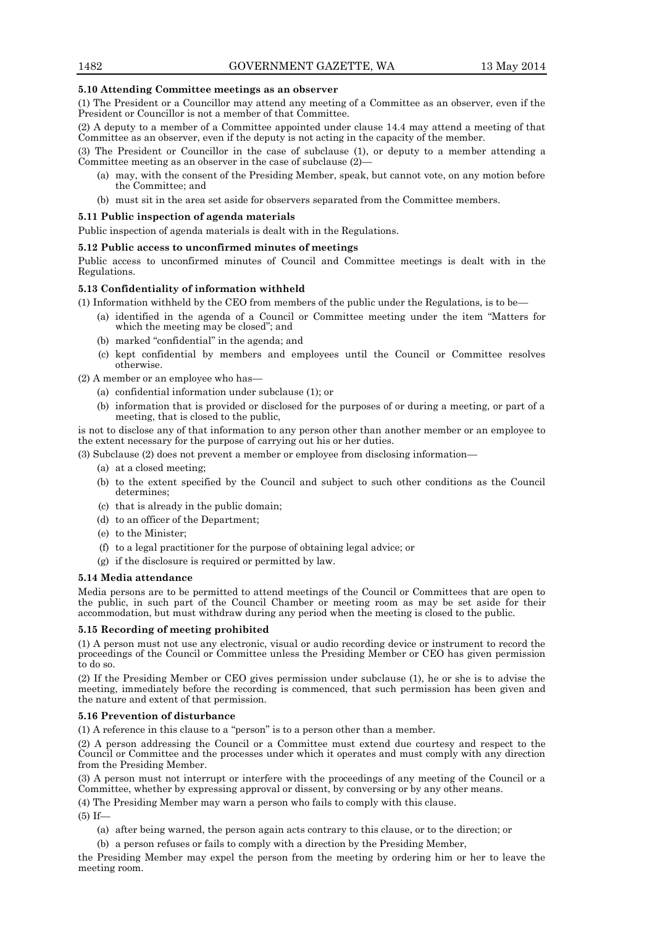# **5.10 Attending Committee meetings as an observer**

(1) The President or a Councillor may attend any meeting of a Committee as an observer, even if the President or Councillor is not a member of that Committee.

(2) A deputy to a member of a Committee appointed under clause 14.4 may attend a meeting of that Committee as an observer, even if the deputy is not acting in the capacity of the member.

(3) The President or Councillor in the case of subclause (1), or deputy to a member attending a Committee meeting as an observer in the case of subclause (2)—

- (a) may, with the consent of the Presiding Member, speak, but cannot vote, on any motion before the Committee; and
- (b) must sit in the area set aside for observers separated from the Committee members.

# **5.11 Public inspection of agenda materials**

Public inspection of agenda materials is dealt with in the Regulations.

# **5.12 Public access to unconfirmed minutes of meetings**

Public access to unconfirmed minutes of Council and Committee meetings is dealt with in the Regulations.

# **5.13 Confidentiality of information withheld**

(1) Information withheld by the CEO from members of the public under the Regulations, is to be—

- (a) identified in the agenda of a Council or Committee meeting under the item "Matters for which the meeting may be closed"; and
- (b) marked "confidential" in the agenda; and
- (c) kept confidential by members and employees until the Council or Committee resolves otherwise.

(2) A member or an employee who has—

- (a) confidential information under subclause (1); or
- (b) information that is provided or disclosed for the purposes of or during a meeting, or part of a meeting, that is closed to the public,

is not to disclose any of that information to any person other than another member or an employee to the extent necessary for the purpose of carrying out his or her duties.

(3) Subclause (2) does not prevent a member or employee from disclosing information—

- (a) at a closed meeting;
- (b) to the extent specified by the Council and subject to such other conditions as the Council determines;
- (c) that is already in the public domain;
- (d) to an officer of the Department;
- (e) to the Minister;
- (f) to a legal practitioner for the purpose of obtaining legal advice; or
- (g) if the disclosure is required or permitted by law.

#### **5.14 Media attendance**

Media persons are to be permitted to attend meetings of the Council or Committees that are open to the public, in such part of the Council Chamber or meeting room as may be set aside for their accommodation, but must withdraw during any period when the meeting is closed to the public.

#### **5.15 Recording of meeting prohibited**

(1) A person must not use any electronic, visual or audio recording device or instrument to record the proceedings of the Council or Committee unless the Presiding Member or CEO has given permission to do so.

(2) If the Presiding Member or CEO gives permission under subclause (1), he or she is to advise the meeting, immediately before the recording is commenced, that such permission has been given and the nature and extent of that permission.

# **5.16 Prevention of disturbance**

(1) A reference in this clause to a "person" is to a person other than a member.

(2) A person addressing the Council or a Committee must extend due courtesy and respect to the Council or Committee and the processes under which it operates and must comply with any direction from the Presiding Member.

(3) A person must not interrupt or interfere with the proceedings of any meeting of the Council or a Committee, whether by expressing approval or dissent, by conversing or by any other means.

(4) The Presiding Member may warn a person who fails to comply with this clause.

 $(5)$  If-

- (a) after being warned, the person again acts contrary to this clause, or to the direction; or
- (b) a person refuses or fails to comply with a direction by the Presiding Member,

the Presiding Member may expel the person from the meeting by ordering him or her to leave the meeting room.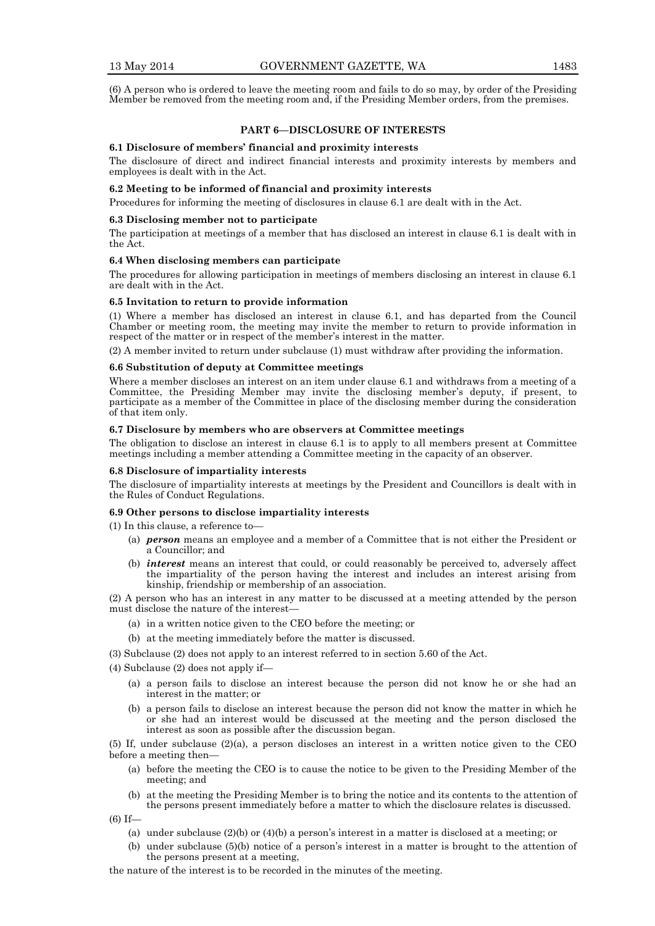(6) A person who is ordered to leave the meeting room and fails to do so may, by order of the Presiding Member be removed from the meeting room and, if the Presiding Member orders, from the premises.

# **PART 6—DISCLOSURE OF INTERESTS**

#### **6.1 Disclosure of members' financial and proximity interests**

The disclosure of direct and indirect financial interests and proximity interests by members and employees is dealt with in the Act.

# **6.2 Meeting to be informed of financial and proximity interests**

Procedures for informing the meeting of disclosures in clause 6.1 are dealt with in the Act.

#### **6.3 Disclosing member not to participate**

The participation at meetings of a member that has disclosed an interest in clause 6.1 is dealt with in the Act.

# **6.4 When disclosing members can participate**

The procedures for allowing participation in meetings of members disclosing an interest in clause 6.1 are dealt with in the Act.

#### **6.5 Invitation to return to provide information**

(1) Where a member has disclosed an interest in clause 6.1, and has departed from the Council Chamber or meeting room, the meeting may invite the member to return to provide information in respect of the matter or in respect of the member's interest in the matter.

(2) A member invited to return under subclause (1) must withdraw after providing the information.

# **6.6 Substitution of deputy at Committee meetings**

Where a member discloses an interest on an item under clause 6.1 and withdraws from a meeting of a Committee, the Presiding Member may invite the disclosing member's deputy, if present, to participate as a member of the Committee in place of the disclosing member during the consideration of that item only.

# **6.7 Disclosure by members who are observers at Committee meetings**

The obligation to disclose an interest in clause 6.1 is to apply to all members present at Committee meetings including a member attending a Committee meeting in the capacity of an observer.

#### **6.8 Disclosure of impartiality interests**

The disclosure of impartiality interests at meetings by the President and Councillors is dealt with in the Rules of Conduct Regulations.

#### **6.9 Other persons to disclose impartiality interests**

(1) In this clause, a reference to—

- (a) *person* means an employee and a member of a Committee that is not either the President or a Councillor; and
- (b) *interest* means an interest that could, or could reasonably be perceived to, adversely affect the impartiality of the person having the interest and includes an interest arising from kinship, friendship or membership of an association.

(2) A person who has an interest in any matter to be discussed at a meeting attended by the person must disclose the nature of the interest—

- (a) in a written notice given to the CEO before the meeting; or
- (b) at the meeting immediately before the matter is discussed.
- (3) Subclause (2) does not apply to an interest referred to in section 5.60 of the Act.
- (4) Subclause (2) does not apply if—
	- (a) a person fails to disclose an interest because the person did not know he or she had an interest in the matter; or
	- (b) a person fails to disclose an interest because the person did not know the matter in which he or she had an interest would be discussed at the meeting and the person disclosed the interest as soon as possible after the discussion began.

(5) If, under subclause (2)(a), a person discloses an interest in a written notice given to the CEO before a meeting then—

- (a) before the meeting the CEO is to cause the notice to be given to the Presiding Member of the meeting; and
- (b) at the meeting the Presiding Member is to bring the notice and its contents to the attention of the persons present immediately before a matter to which the disclosure relates is discussed.

(6) If—

- (a) under subclause (2)(b) or (4)(b) a person's interest in a matter is disclosed at a meeting; or
- (b) under subclause (5)(b) notice of a person's interest in a matter is brought to the attention of the persons present at a meeting,
- the nature of the interest is to be recorded in the minutes of the meeting.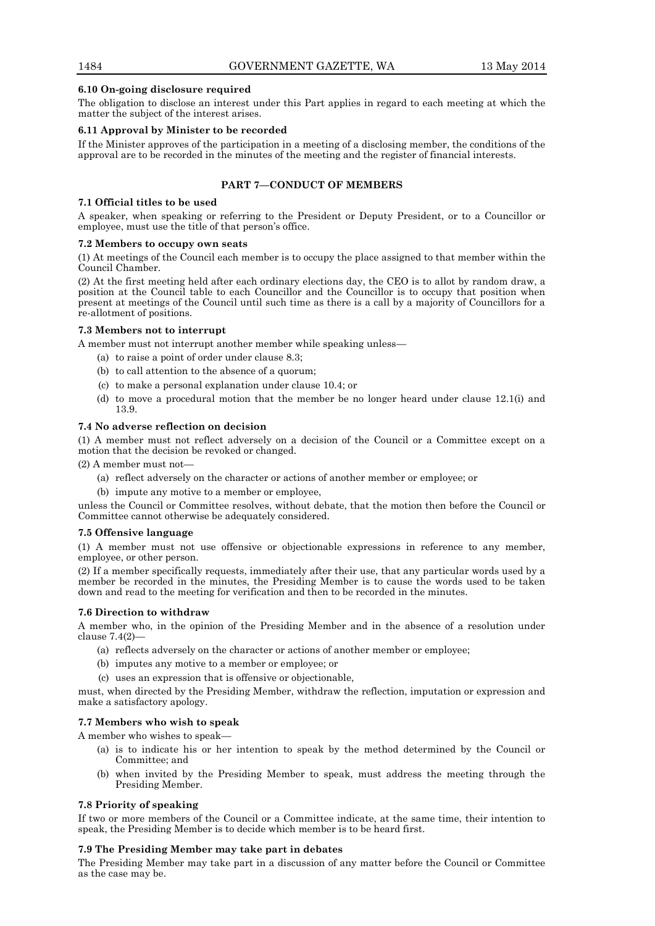#### **6.10 On-going disclosure required**

The obligation to disclose an interest under this Part applies in regard to each meeting at which the matter the subject of the interest arises.

# **6.11 Approval by Minister to be recorded**

If the Minister approves of the participation in a meeting of a disclosing member, the conditions of the approval are to be recorded in the minutes of the meeting and the register of financial interests.

# **PART 7—CONDUCT OF MEMBERS**

#### **7.1 Official titles to be used**

A speaker, when speaking or referring to the President or Deputy President, or to a Councillor or employee, must use the title of that person's office.

#### **7.2 Members to occupy own seats**

(1) At meetings of the Council each member is to occupy the place assigned to that member within the Council Chamber.

(2) At the first meeting held after each ordinary elections day, the CEO is to allot by random draw, a position at the Council table to each Councillor and the Councillor is to occupy that position when present at meetings of the Council until such time as there is a call by a majority of Councillors for a re-allotment of positions.

# **7.3 Members not to interrupt**

A member must not interrupt another member while speaking unless—

- (a) to raise a point of order under clause 8.3;
- (b) to call attention to the absence of a quorum;
- (c) to make a personal explanation under clause 10.4; or
- (d) to move a procedural motion that the member be no longer heard under clause 12.1(i) and 13.9.

# **7.4 No adverse reflection on decision**

(1) A member must not reflect adversely on a decision of the Council or a Committee except on a motion that the decision be revoked or changed.

(2) A member must not—

- (a) reflect adversely on the character or actions of another member or employee; or
- (b) impute any motive to a member or employee,

unless the Council or Committee resolves, without debate, that the motion then before the Council or Committee cannot otherwise be adequately considered.

#### **7.5 Offensive language**

(1) A member must not use offensive or objectionable expressions in reference to any member, employee, or other person.

(2) If a member specifically requests, immediately after their use, that any particular words used by a member be recorded in the minutes, the Presiding Member is to cause the words used to be taken down and read to the meeting for verification and then to be recorded in the minutes.

#### **7.6 Direction to withdraw**

A member who, in the opinion of the Presiding Member and in the absence of a resolution under clause 7.4(2)—

- (a) reflects adversely on the character or actions of another member or employee;
- (b) imputes any motive to a member or employee; or
- (c) uses an expression that is offensive or objectionable,

must, when directed by the Presiding Member, withdraw the reflection, imputation or expression and make a satisfactory apology.

# **7.7 Members who wish to speak**

A member who wishes to speak—

- (a) is to indicate his or her intention to speak by the method determined by the Council or Committee; and
- when invited by the Presiding Member to speak, must address the meeting through the Presiding Member.

# **7.8 Priority of speaking**

If two or more members of the Council or a Committee indicate, at the same time, their intention to speak, the Presiding Member is to decide which member is to be heard first.

# **7.9 The Presiding Member may take part in debates**

The Presiding Member may take part in a discussion of any matter before the Council or Committee as the case may be.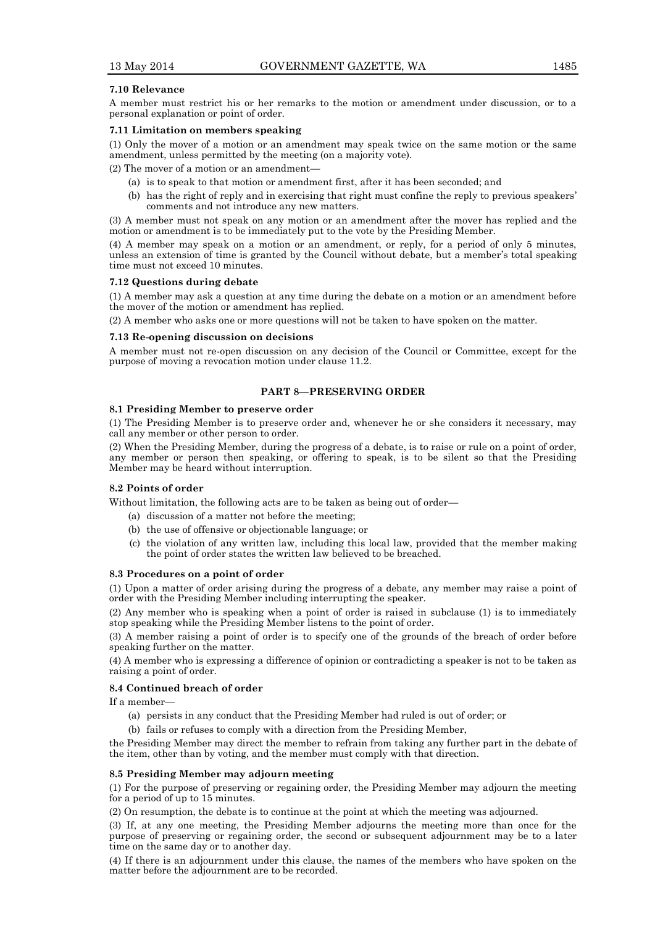### **7.10 Relevance**

A member must restrict his or her remarks to the motion or amendment under discussion, or to a personal explanation or point of order.

# **7.11 Limitation on members speaking**

(1) Only the mover of a motion or an amendment may speak twice on the same motion or the same amendment, unless permitted by the meeting (on a majority vote).

(2) The mover of a motion or an amendment—

- (a) is to speak to that motion or amendment first, after it has been seconded; and
- (b) has the right of reply and in exercising that right must confine the reply to previous speakers' comments and not introduce any new matters.

(3) A member must not speak on any motion or an amendment after the mover has replied and the motion or amendment is to be immediately put to the vote by the Presiding Member.

(4) A member may speak on a motion or an amendment, or reply, for a period of only 5 minutes, unless an extension of time is granted by the Council without debate, but a member's total speaking time must not exceed 10 minutes.

#### **7.12 Questions during debate**

(1) A member may ask a question at any time during the debate on a motion or an amendment before the mover of the motion or amendment has replied.

(2) A member who asks one or more questions will not be taken to have spoken on the matter.

#### **7.13 Re-opening discussion on decisions**

A member must not re-open discussion on any decision of the Council or Committee, except for the purpose of moving a revocation motion under clause 11.2.

# **PART 8—PRESERVING ORDER**

#### **8.1 Presiding Member to preserve order**

(1) The Presiding Member is to preserve order and, whenever he or she considers it necessary, may call any member or other person to order.

(2) When the Presiding Member, during the progress of a debate, is to raise or rule on a point of order, any member or person then speaking, or offering to speak, is to be silent so that the Presiding Member may be heard without interruption.

# **8.2 Points of order**

Without limitation, the following acts are to be taken as being out of order—

- (a) discussion of a matter not before the meeting;
- (b) the use of offensive or objectionable language; or
- (c) the violation of any written law, including this local law, provided that the member making the point of order states the written law believed to be breached.

#### **8.3 Procedures on a point of order**

(1) Upon a matter of order arising during the progress of a debate, any member may raise a point of order with the Presiding Member including interrupting the speaker.

(2) Any member who is speaking when a point of order is raised in subclause (1) is to immediately stop speaking while the Presiding Member listens to the point of order.

(3) A member raising a point of order is to specify one of the grounds of the breach of order before speaking further on the matter.

(4) A member who is expressing a difference of opinion or contradicting a speaker is not to be taken as raising a point of order.

#### **8.4 Continued breach of order**

If a member—

- (a) persists in any conduct that the Presiding Member had ruled is out of order; or
- (b) fails or refuses to comply with a direction from the Presiding Member,

the Presiding Member may direct the member to refrain from taking any further part in the debate of the item, other than by voting, and the member must comply with that direction.

# **8.5 Presiding Member may adjourn meeting**

(1) For the purpose of preserving or regaining order, the Presiding Member may adjourn the meeting for a period of up to 15 minutes.

(2) On resumption, the debate is to continue at the point at which the meeting was adjourned.

(3) If, at any one meeting, the Presiding Member adjourns the meeting more than once for the purpose of preserving or regaining order, the second or subsequent adjournment may be to a later time on the same day or to another day.

(4) If there is an adjournment under this clause, the names of the members who have spoken on the matter before the adjournment are to be recorded.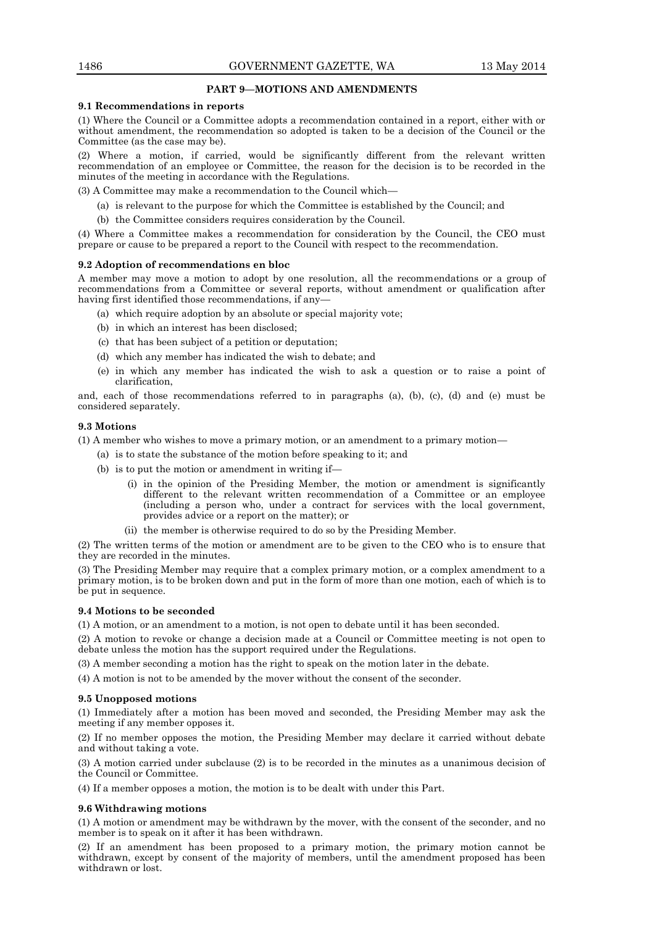# **PART 9—MOTIONS AND AMENDMENTS**

#### **9.1 Recommendations in reports**

(1) Where the Council or a Committee adopts a recommendation contained in a report, either with or without amendment, the recommendation so adopted is taken to be a decision of the Council or the Committee (as the case may be).

(2) Where a motion, if carried, would be significantly different from the relevant written recommendation of an employee or Committee, the reason for the decision is to be recorded in the minutes of the meeting in accordance with the Regulations.

(3) A Committee may make a recommendation to the Council which—

- (a) is relevant to the purpose for which the Committee is established by the Council; and
- (b) the Committee considers requires consideration by the Council.

(4) Where a Committee makes a recommendation for consideration by the Council, the CEO must prepare or cause to be prepared a report to the Council with respect to the recommendation.

# **9.2 Adoption of recommendations en bloc**

A member may move a motion to adopt by one resolution, all the recommendations or a group of recommendations from a Committee or several reports, without amendment or qualification after having first identified those recommendations, if any-

- (a) which require adoption by an absolute or special majority vote;
- (b) in which an interest has been disclosed;
- (c) that has been subject of a petition or deputation;
- (d) which any member has indicated the wish to debate; and
- (e) in which any member has indicated the wish to ask a question or to raise a point of clarification,

and, each of those recommendations referred to in paragraphs (a), (b), (c), (d) and (e) must be considered separately.

# **9.3 Motions**

(1) A member who wishes to move a primary motion, or an amendment to a primary motion—

- (a) is to state the substance of the motion before speaking to it; and
- (b) is to put the motion or amendment in writing if—
	- (i) in the opinion of the Presiding Member, the motion or amendment is significantly different to the relevant written recommendation of a Committee or an employee (including a person who, under a contract for services with the local government, provides advice or a report on the matter); or
	- (ii) the member is otherwise required to do so by the Presiding Member.

(2) The written terms of the motion or amendment are to be given to the CEO who is to ensure that they are recorded in the minutes.

(3) The Presiding Member may require that a complex primary motion, or a complex amendment to a primary motion, is to be broken down and put in the form of more than one motion, each of which is to be put in sequence.

# **9.4 Motions to be seconded**

(1) A motion, or an amendment to a motion, is not open to debate until it has been seconded.

(2) A motion to revoke or change a decision made at a Council or Committee meeting is not open to debate unless the motion has the support required under the Regulations.

(3) A member seconding a motion has the right to speak on the motion later in the debate.

(4) A motion is not to be amended by the mover without the consent of the seconder.

# **9.5 Unopposed motions**

(1) Immediately after a motion has been moved and seconded, the Presiding Member may ask the meeting if any member opposes it.

(2) If no member opposes the motion, the Presiding Member may declare it carried without debate and without taking a vote.

(3) A motion carried under subclause (2) is to be recorded in the minutes as a unanimous decision of the Council or Committee.

(4) If a member opposes a motion, the motion is to be dealt with under this Part.

# **9.6 Withdrawing motions**

(1) A motion or amendment may be withdrawn by the mover, with the consent of the seconder, and no member is to speak on it after it has been withdrawn.

(2) If an amendment has been proposed to a primary motion, the primary motion cannot be withdrawn, except by consent of the majority of members, until the amendment proposed has been withdrawn or lost.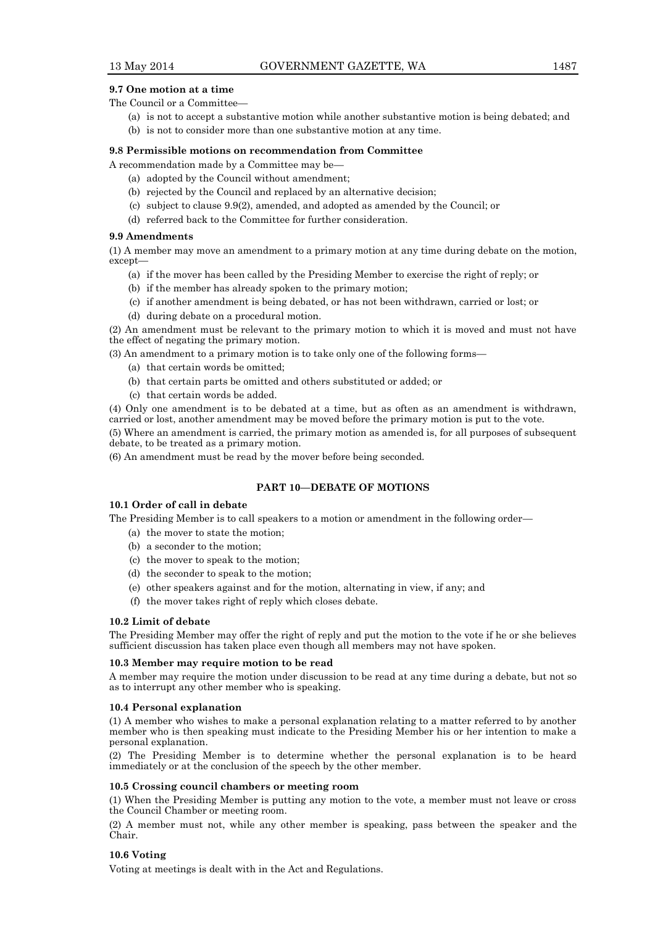# **9.7 One motion at a time**

The Council or a Committee—

- (a) is not to accept a substantive motion while another substantive motion is being debated; and
- (b) is not to consider more than one substantive motion at any time.

#### **9.8 Permissible motions on recommendation from Committee**

A recommendation made by a Committee may be—

- (a) adopted by the Council without amendment;
- (b) rejected by the Council and replaced by an alternative decision;
- (c) subject to clause 9.9(2), amended, and adopted as amended by the Council; or
- (d) referred back to the Committee for further consideration.

#### **9.9 Amendments**

(1) A member may move an amendment to a primary motion at any time during debate on the motion, except—

- (a) if the mover has been called by the Presiding Member to exercise the right of reply; or
- (b) if the member has already spoken to the primary motion;
- (c) if another amendment is being debated, or has not been withdrawn, carried or lost; or
- (d) during debate on a procedural motion.

(2) An amendment must be relevant to the primary motion to which it is moved and must not have the effect of negating the primary motion.

(3) An amendment to a primary motion is to take only one of the following forms—

- (a) that certain words be omitted;
- (b) that certain parts be omitted and others substituted or added; or
- (c) that certain words be added.

(4) Only one amendment is to be debated at a time, but as often as an amendment is withdrawn, carried or lost, another amendment may be moved before the primary motion is put to the vote.

(5) Where an amendment is carried, the primary motion as amended is, for all purposes of subsequent debate, to be treated as a primary motion.

(6) An amendment must be read by the mover before being seconded.

# **PART 10—DEBATE OF MOTIONS**

#### **10.1 Order of call in debate**

The Presiding Member is to call speakers to a motion or amendment in the following order—

- (a) the mover to state the motion;
- (b) a seconder to the motion;
- (c) the mover to speak to the motion;
- (d) the seconder to speak to the motion;
- (e) other speakers against and for the motion, alternating in view, if any; and
- (f) the mover takes right of reply which closes debate.

#### **10.2 Limit of debate**

The Presiding Member may offer the right of reply and put the motion to the vote if he or she believes sufficient discussion has taken place even though all members may not have spoken.

#### **10.3 Member may require motion to be read**

A member may require the motion under discussion to be read at any time during a debate, but not so as to interrupt any other member who is speaking.

#### **10.4 Personal explanation**

(1) A member who wishes to make a personal explanation relating to a matter referred to by another member who is then speaking must indicate to the Presiding Member his or her intention to make a personal explanation.

(2) The Presiding Member is to determine whether the personal explanation is to be heard immediately or at the conclusion of the speech by the other member.

#### **10.5 Crossing council chambers or meeting room**

(1) When the Presiding Member is putting any motion to the vote, a member must not leave or cross the Council Chamber or meeting room.

(2) A member must not, while any other member is speaking, pass between the speaker and the Chair.

#### **10.6 Voting**

Voting at meetings is dealt with in the Act and Regulations.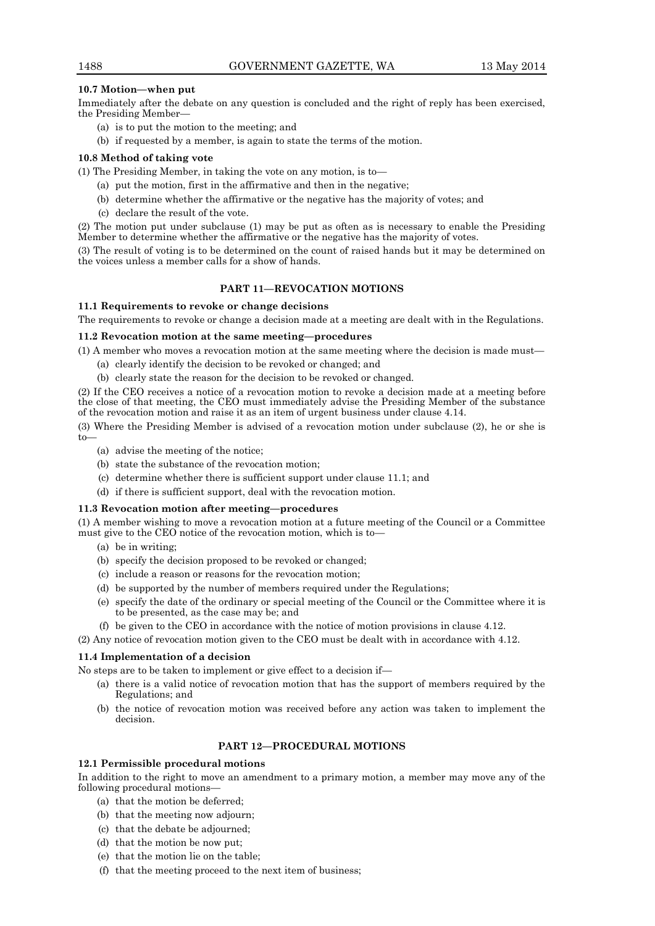# **10.7 Motion—when put**

Immediately after the debate on any question is concluded and the right of reply has been exercised, the Presiding Member—

- (a) is to put the motion to the meeting; and
- (b) if requested by a member, is again to state the terms of the motion.

# **10.8 Method of taking vote**

(1) The Presiding Member, in taking the vote on any motion, is to—

- (a) put the motion, first in the affirmative and then in the negative;
- (b) determine whether the affirmative or the negative has the majority of votes; and
- (c) declare the result of the vote.

(2) The motion put under subclause (1) may be put as often as is necessary to enable the Presiding Member to determine whether the affirmative or the negative has the majority of votes.

(3) The result of voting is to be determined on the count of raised hands but it may be determined on the voices unless a member calls for a show of hands.

# **PART 11—REVOCATION MOTIONS**

# **11.1 Requirements to revoke or change decisions**

The requirements to revoke or change a decision made at a meeting are dealt with in the Regulations.

# **11.2 Revocation motion at the same meeting—procedures**

(1) A member who moves a revocation motion at the same meeting where the decision is made must—

- (a) clearly identify the decision to be revoked or changed; and
- (b) clearly state the reason for the decision to be revoked or changed.

(2) If the CEO receives a notice of a revocation motion to revoke a decision made at a meeting before the close of that meeting, the CEO must immediately advise the Presiding Member of the substance of the revocation motion and raise it as an item of urgent business under clause 4.14.

(3) Where the Presiding Member is advised of a revocation motion under subclause (2), he or she is to—

- (a) advise the meeting of the notice;
- (b) state the substance of the revocation motion;
- (c) determine whether there is sufficient support under clause 11.1; and
- (d) if there is sufficient support, deal with the revocation motion.

# **11.3 Revocation motion after meeting—procedures**

(1) A member wishing to move a revocation motion at a future meeting of the Council or a Committee must give to the CEO notice of the revocation motion, which is to—

- (a) be in writing;
- (b) specify the decision proposed to be revoked or changed;
- (c) include a reason or reasons for the revocation motion;
- (d) be supported by the number of members required under the Regulations;
- (e) specify the date of the ordinary or special meeting of the Council or the Committee where it is to be presented, as the case may be; and
- (f) be given to the CEO in accordance with the notice of motion provisions in clause 4.12.

(2) Any notice of revocation motion given to the CEO must be dealt with in accordance with 4.12.

# **11.4 Implementation of a decision**

No steps are to be taken to implement or give effect to a decision if—

- (a) there is a valid notice of revocation motion that has the support of members required by the Regulations; and
- (b) the notice of revocation motion was received before any action was taken to implement the decision.

# **PART 12—PROCEDURAL MOTIONS**

# **12.1 Permissible procedural motions**

In addition to the right to move an amendment to a primary motion, a member may move any of the following procedural motions—

- (a) that the motion be deferred;
- (b) that the meeting now adjourn;
- (c) that the debate be adjourned;
- (d) that the motion be now put;
- (e) that the motion lie on the table;
- (f) that the meeting proceed to the next item of business;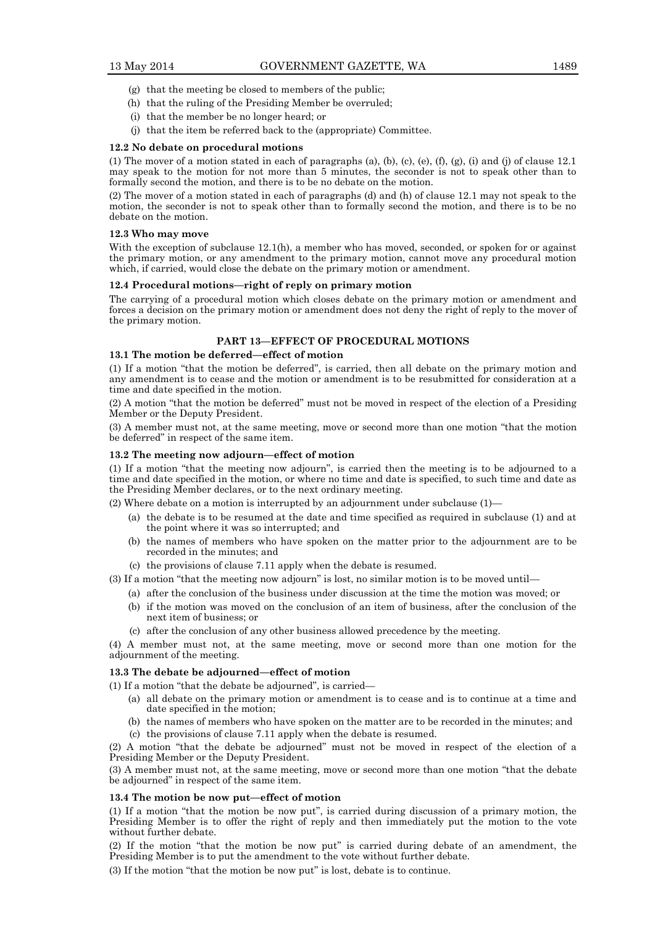- (g) that the meeting be closed to members of the public;
- (h) that the ruling of the Presiding Member be overruled;
- (i) that the member be no longer heard; or
- (j) that the item be referred back to the (appropriate) Committee.

#### **12.2 No debate on procedural motions**

(1) The mover of a motion stated in each of paragraphs (a), (b), (c), (e), (f), (g), (i) and (j) of clause  $12.1$ may speak to the motion for not more than 5 minutes, the seconder is not to speak other than to formally second the motion, and there is to be no debate on the motion.

(2) The mover of a motion stated in each of paragraphs (d) and (h) of clause 12.1 may not speak to the motion, the seconder is not to speak other than to formally second the motion, and there is to be no debate on the motion.

#### **12.3 Who may move**

With the exception of subclause 12.1(h), a member who has moved, seconded, or spoken for or against the primary motion, or any amendment to the primary motion, cannot move any procedural motion which, if carried, would close the debate on the primary motion or amendment.

#### **12.4 Procedural motions—right of reply on primary motion**

The carrying of a procedural motion which closes debate on the primary motion or amendment and forces a decision on the primary motion or amendment does not deny the right of reply to the mover of the primary motion.

# **PART 13—EFFECT OF PROCEDURAL MOTIONS**

#### **13.1 The motion be deferred—effect of motion**

(1) If a motion "that the motion be deferred", is carried, then all debate on the primary motion and any amendment is to cease and the motion or amendment is to be resubmitted for consideration at a time and date specified in the motion.

(2) A motion "that the motion be deferred" must not be moved in respect of the election of a Presiding Member or the Deputy President.

(3) A member must not, at the same meeting, move or second more than one motion "that the motion be deferred" in respect of the same item.

#### **13.2 The meeting now adjourn—effect of motion**

(1) If a motion "that the meeting now adjourn", is carried then the meeting is to be adjourned to a time and date specified in the motion, or where no time and date is specified, to such time and date as the Presiding Member declares, or to the next ordinary meeting.

(2) Where debate on a motion is interrupted by an adjournment under subclause (1)—

- (a) the debate is to be resumed at the date and time specified as required in subclause (1) and at the point where it was so interrupted; and
- (b) the names of members who have spoken on the matter prior to the adjournment are to be recorded in the minutes; and
- (c) the provisions of clause 7.11 apply when the debate is resumed.

(3) If a motion "that the meeting now adjourn" is lost, no similar motion is to be moved until—

- (a) after the conclusion of the business under discussion at the time the motion was moved; or
- (b) if the motion was moved on the conclusion of an item of business, after the conclusion of the next item of business; or
- (c) after the conclusion of any other business allowed precedence by the meeting.

(4) A member must not, at the same meeting, move or second more than one motion for the adjournment of the meeting.

#### **13.3 The debate be adjourned—effect of motion**

(1) If a motion "that the debate be adjourned", is carried—

- (a) all debate on the primary motion or amendment is to cease and is to continue at a time and date specified in the motion;
- (b) the names of members who have spoken on the matter are to be recorded in the minutes; and
- (c) the provisions of clause 7.11 apply when the debate is resumed.

(2) A motion "that the debate be adjourned" must not be moved in respect of the election of a Presiding Member or the Deputy President.

(3) A member must not, at the same meeting, move or second more than one motion "that the debate be adjourned" in respect of the same item.

#### **13.4 The motion be now put—effect of motion**

(1) If a motion "that the motion be now put", is carried during discussion of a primary motion, the Presiding Member is to offer the right of reply and then immediately put the motion to the vote without further debate.

(2) If the motion "that the motion be now put" is carried during debate of an amendment, the Presiding Member is to put the amendment to the vote without further debate.

(3) If the motion "that the motion be now put" is lost, debate is to continue.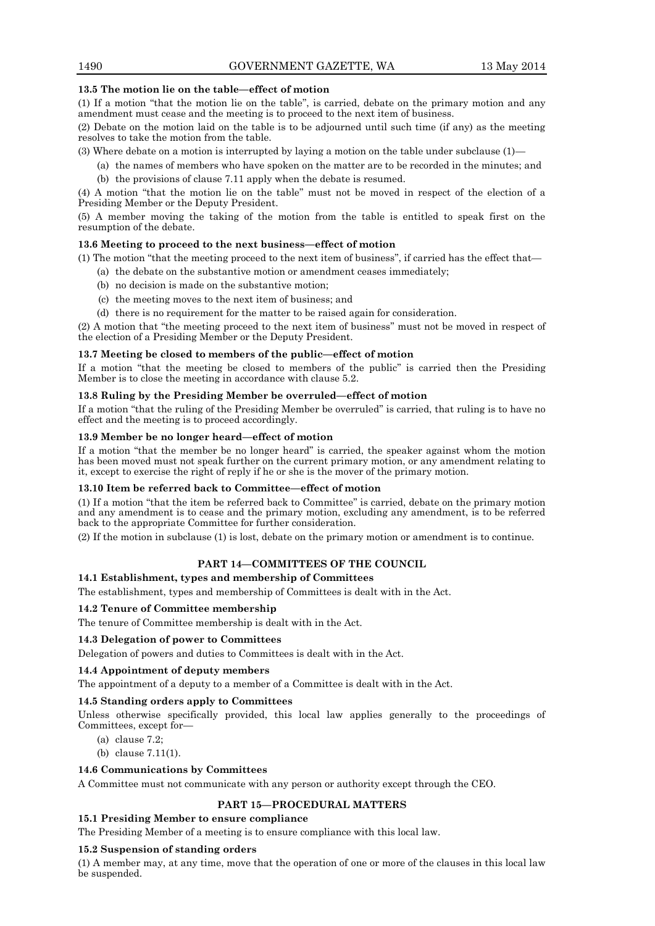# **13.5 The motion lie on the table—effect of motion**

(1) If a motion "that the motion lie on the table", is carried, debate on the primary motion and any amendment must cease and the meeting is to proceed to the next item of business.

(2) Debate on the motion laid on the table is to be adjourned until such time (if any) as the meeting resolves to take the motion from the table.

(3) Where debate on a motion is interrupted by laying a motion on the table under subclause (1)—

(a) the names of members who have spoken on the matter are to be recorded in the minutes; and (b) the provisions of clause 7.11 apply when the debate is resumed.

(4) A motion "that the motion lie on the table" must not be moved in respect of the election of a Presiding Member or the Deputy President.

(5) A member moving the taking of the motion from the table is entitled to speak first on the resumption of the debate.

# **13.6 Meeting to proceed to the next business—effect of motion**

(1) The motion "that the meeting proceed to the next item of business", if carried has the effect that—

- (a) the debate on the substantive motion or amendment ceases immediately;
- (b) no decision is made on the substantive motion;
- (c) the meeting moves to the next item of business; and
- (d) there is no requirement for the matter to be raised again for consideration.

(2) A motion that "the meeting proceed to the next item of business" must not be moved in respect of the election of a Presiding Member or the Deputy President.

# **13.7 Meeting be closed to members of the public—effect of motion**

If a motion "that the meeting be closed to members of the public" is carried then the Presiding Member is to close the meeting in accordance with clause 5.2.

# **13.8 Ruling by the Presiding Member be overruled—effect of motion**

If a motion "that the ruling of the Presiding Member be overruled" is carried, that ruling is to have no effect and the meeting is to proceed accordingly.

#### **13.9 Member be no longer heard—effect of motion**

If a motion "that the member be no longer heard" is carried, the speaker against whom the motion has been moved must not speak further on the current primary motion, or any amendment relating to it, except to exercise the right of reply if he or she is the mover of the primary motion.

#### **13.10 Item be referred back to Committee—effect of motion**

(1) If a motion "that the item be referred back to Committee" is carried, debate on the primary motion and any amendment is to cease and the primary motion, excluding any amendment, is to be referred back to the appropriate Committee for further consideration.

(2) If the motion in subclause (1) is lost, debate on the primary motion or amendment is to continue.

# **PART 14—COMMITTEES OF THE COUNCIL**

# **14.1 Establishment, types and membership of Committees**

The establishment, types and membership of Committees is dealt with in the Act.

# **14.2 Tenure of Committee membership**

The tenure of Committee membership is dealt with in the Act.

#### **14.3 Delegation of power to Committees**

Delegation of powers and duties to Committees is dealt with in the Act.

# **14.4 Appointment of deputy members**

The appointment of a deputy to a member of a Committee is dealt with in the Act.

# **14.5 Standing orders apply to Committees**

Unless otherwise specifically provided, this local law applies generally to the proceedings of Committees, except for—

- (a) clause 7.2;
- (b) clause 7.11(1).

# **14.6 Communications by Committees**

A Committee must not communicate with any person or authority except through the CEO.

# **PART 15—PROCEDURAL MATTERS**

#### **15.1 Presiding Member to ensure compliance**

The Presiding Member of a meeting is to ensure compliance with this local law.

# **15.2 Suspension of standing orders**

(1) A member may, at any time, move that the operation of one or more of the clauses in this local law be suspended.